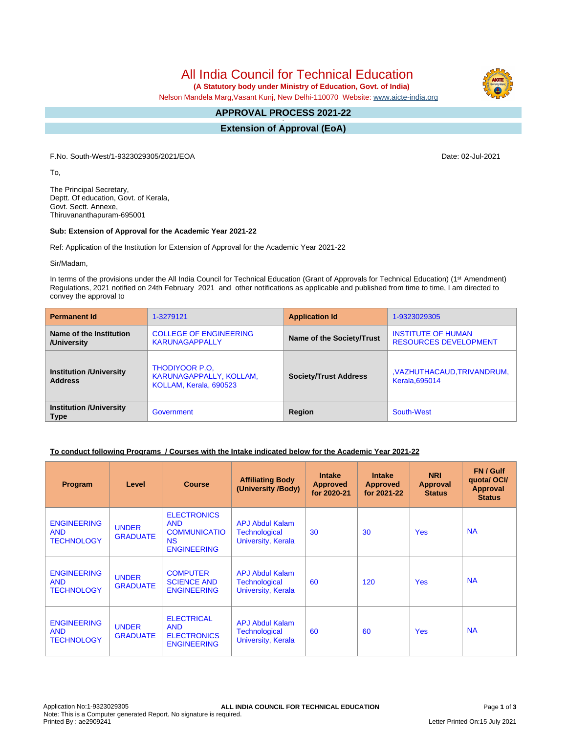# All India Council for Technical Education

 **(A Statutory body under Ministry of Education, Govt. of India)**

Nelson Mandela Marg,Vasant Kunj, New Delhi-110070 Website: [www.aicte-india.org](http://www.aicte-india.org)

#### **APPROVAL PROCESS 2021-22 -**

**Extension of Approval (EoA)**

F.No. South-West/1-9323029305/2021/EOA Date: 02-Jul-2021

To,

The Principal Secretary, Deptt. Of education, Govt. of Kerala, Govt. Sectt. Annexe, Thiruvananthapuram-695001

#### **Sub: Extension of Approval for the Academic Year 2021-22**

Ref: Application of the Institution for Extension of Approval for the Academic Year 2021-22

Sir/Madam,

In terms of the provisions under the All India Council for Technical Education (Grant of Approvals for Technical Education) (1<sup>st</sup> Amendment) Regulations, 2021 notified on 24th February 2021 and other notifications as applicable and published from time to time, I am directed to convey the approval to

| <b>Permanent Id</b>                              | 1-3279121                                                                  | <b>Application Id</b>        | 1-9323029305                                              |  |
|--------------------------------------------------|----------------------------------------------------------------------------|------------------------------|-----------------------------------------------------------|--|
| Name of the Institution<br>/University           | <b>COLLEGE OF ENGINEERING</b><br><b>KARUNAGAPPALLY</b>                     | Name of the Society/Trust    | <b>INSTITUTE OF HUMAN</b><br><b>RESOURCES DEVELOPMENT</b> |  |
| <b>Institution /University</b><br><b>Address</b> | <b>THODIYOOR P.O.</b><br>KARUNAGAPPALLY, KOLLAM,<br>KOLLAM, Kerala, 690523 | <b>Society/Trust Address</b> | , VAZHUTHACAUD, TRIVANDRUM,<br><b>Kerala.695014</b>       |  |
| <b>Institution /University</b><br><b>Type</b>    | Government                                                                 | Region                       | South-West                                                |  |

### **To conduct following Programs / Courses with the Intake indicated below for the Academic Year 2021-22**

| Program                                               | Level                           | <b>Course</b>                                                                              | <b>Affiliating Body</b><br>(University /Body)                 | <b>Intake</b><br><b>Approved</b><br>for 2020-21 | <b>Intake</b><br><b>Approved</b><br>for 2021-22 | <b>NRI</b><br>Approval<br><b>Status</b> | FN / Gulf<br>quotal OCI/<br><b>Approval</b><br><b>Status</b> |
|-------------------------------------------------------|---------------------------------|--------------------------------------------------------------------------------------------|---------------------------------------------------------------|-------------------------------------------------|-------------------------------------------------|-----------------------------------------|--------------------------------------------------------------|
| <b>ENGINEERING</b><br><b>AND</b><br><b>TECHNOLOGY</b> | <b>UNDER</b><br><b>GRADUATE</b> | <b>ELECTRONICS</b><br><b>AND</b><br><b>COMMUNICATIO</b><br><b>NS</b><br><b>ENGINEERING</b> | <b>APJ Abdul Kalam</b><br>Technological<br>University, Kerala | 30                                              | 30                                              | <b>Yes</b>                              | <b>NA</b>                                                    |
| <b>ENGINEERING</b><br><b>AND</b><br><b>TECHNOLOGY</b> | <b>UNDER</b><br><b>GRADUATE</b> | <b>COMPUTER</b><br><b>SCIENCE AND</b><br><b>ENGINEERING</b>                                | <b>APJ Abdul Kalam</b><br>Technological<br>University, Kerala | 60                                              | 120                                             | <b>Yes</b>                              | <b>NA</b>                                                    |
| <b>ENGINEERING</b><br><b>AND</b><br><b>TECHNOLOGY</b> | <b>UNDER</b><br><b>GRADUATE</b> | <b>ELECTRICAL</b><br><b>AND</b><br><b>ELECTRONICS</b><br><b>ENGINEERING</b>                | <b>APJ Abdul Kalam</b><br>Technological<br>University, Kerala | 60                                              | 60                                              | <b>Yes</b>                              | <b>NA</b>                                                    |

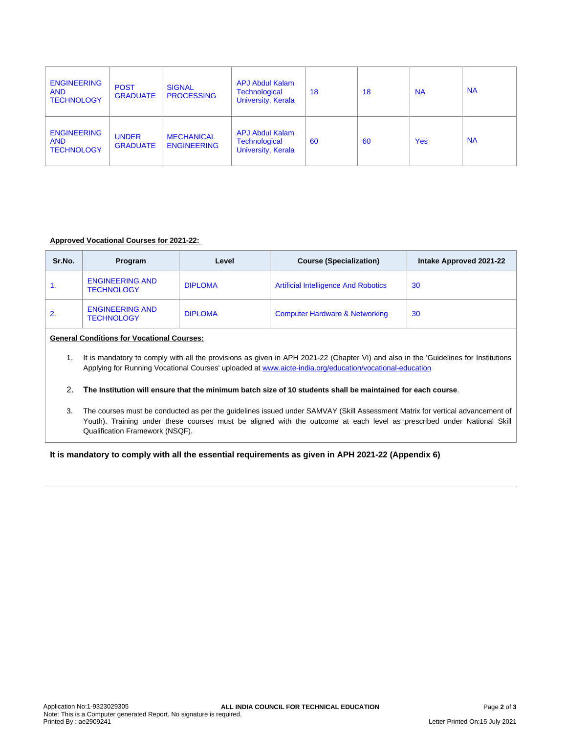| <b>ENGINEERING</b><br><b>AND</b><br><b>TECHNOLOGY</b> | <b>POST</b><br><b>GRADUATE</b>  | <b>SIGNAL</b><br><b>PROCESSING</b>      | <b>APJ Abdul Kalam</b><br><b>Technological</b><br><b>University, Kerala</b> | 18 | 18 | <b>NA</b>  | <b>NA</b> |
|-------------------------------------------------------|---------------------------------|-----------------------------------------|-----------------------------------------------------------------------------|----|----|------------|-----------|
| <b>ENGINEERING</b><br><b>AND</b><br><b>TECHNOLOGY</b> | <b>UNDER</b><br><b>GRADUATE</b> | <b>MECHANICAL</b><br><b>ENGINEERING</b> | <b>APJ Abdul Kalam</b><br>Technological<br>University, Kerala               | 60 | 60 | <b>Yes</b> | <b>NA</b> |

## **Approved Vocational Courses for 2021-22:**

| Sr.No.                                                                                                                                                                                                                                               | Program                                                                                                                                                                                                                                                                                   | Level          | <b>Course (Specialization)</b>              | Intake Approved 2021-22 |  |  |  |
|------------------------------------------------------------------------------------------------------------------------------------------------------------------------------------------------------------------------------------------------------|-------------------------------------------------------------------------------------------------------------------------------------------------------------------------------------------------------------------------------------------------------------------------------------------|----------------|---------------------------------------------|-------------------------|--|--|--|
| 1.                                                                                                                                                                                                                                                   | <b>ENGINEERING AND</b><br><b>TECHNOLOGY</b>                                                                                                                                                                                                                                               | <b>DIPLOMA</b> | <b>Artificial Intelligence And Robotics</b> | 30                      |  |  |  |
| 2.                                                                                                                                                                                                                                                   | <b>ENGINEERING AND</b><br><b>TECHNOLOGY</b>                                                                                                                                                                                                                                               | <b>DIPLOMA</b> | <b>Computer Hardware &amp; Networking</b>   | 30                      |  |  |  |
| <b>General Conditions for Vocational Courses:</b>                                                                                                                                                                                                    |                                                                                                                                                                                                                                                                                           |                |                                             |                         |  |  |  |
| It is mandatory to comply with all the provisions as given in APH 2021-22 (Chapter VI) and also in the 'Guidelines for Institutions<br>1.<br>Applying for Running Vocational Courses' uploaded at www.aicte-india.org/education/vocational-education |                                                                                                                                                                                                                                                                                           |                |                                             |                         |  |  |  |
| 2 <sub>1</sub><br>The Institution will ensure that the minimum batch size of 10 students shall be maintained for each course.                                                                                                                        |                                                                                                                                                                                                                                                                                           |                |                                             |                         |  |  |  |
| 3.                                                                                                                                                                                                                                                   | The courses must be conducted as per the guidelines issued under SAMVAY (Skill Assessment Matrix for vertical advancement of<br>Youth). Training under these courses must be aligned with the outcome at each level as prescribed under National Skill<br>Qualification Framework (NSQF). |                |                                             |                         |  |  |  |

**It is mandatory to comply with all the essential requirements as given in APH 2021-22 (Appendix 6)**